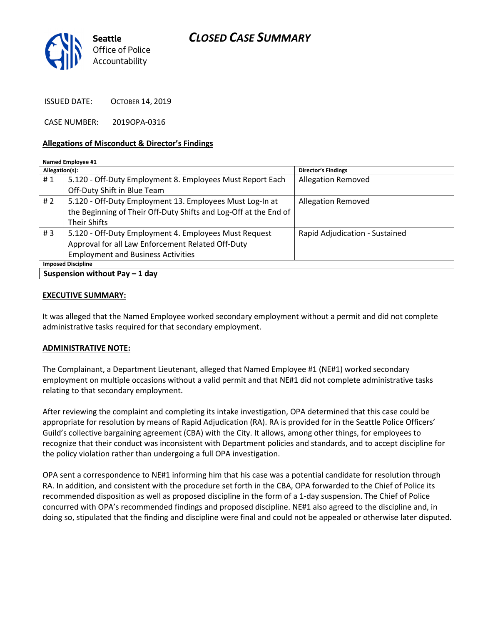# CLOSED CASE SUMMARY



ISSUED DATE: OCTOBER 14, 2019

CASE NUMBER: 2019OPA-0316

#### Allegations of Misconduct & Director's Findings

| Allegation(s):                  |                                                                  | <b>Director's Findings</b>     |
|---------------------------------|------------------------------------------------------------------|--------------------------------|
| #1                              | 5.120 - Off-Duty Employment 8. Employees Must Report Each        | <b>Allegation Removed</b>      |
|                                 | Off-Duty Shift in Blue Team                                      |                                |
| #2                              | 5.120 - Off-Duty Employment 13. Employees Must Log-In at         | <b>Allegation Removed</b>      |
|                                 | the Beginning of Their Off-Duty Shifts and Log-Off at the End of |                                |
|                                 | <b>Their Shifts</b>                                              |                                |
| #3                              | 5.120 - Off-Duty Employment 4. Employees Must Request            | Rapid Adjudication - Sustained |
|                                 | Approval for all Law Enforcement Related Off-Duty                |                                |
|                                 | <b>Employment and Business Activities</b>                        |                                |
| <b>Imposed Discipline</b>       |                                                                  |                                |
| Suspension without Pay $-1$ day |                                                                  |                                |

#### EXECUTIVE SUMMARY:

It was alleged that the Named Employee worked secondary employment without a permit and did not complete administrative tasks required for that secondary employment.

### ADMINISTRATIVE NOTE:

The Complainant, a Department Lieutenant, alleged that Named Employee #1 (NE#1) worked secondary employment on multiple occasions without a valid permit and that NE#1 did not complete administrative tasks relating to that secondary employment.

After reviewing the complaint and completing its intake investigation, OPA determined that this case could be appropriate for resolution by means of Rapid Adjudication (RA). RA is provided for in the Seattle Police Officers' Guild's collective bargaining agreement (CBA) with the City. It allows, among other things, for employees to recognize that their conduct was inconsistent with Department policies and standards, and to accept discipline for the policy violation rather than undergoing a full OPA investigation.

OPA sent a correspondence to NE#1 informing him that his case was a potential candidate for resolution through RA. In addition, and consistent with the procedure set forth in the CBA, OPA forwarded to the Chief of Police its recommended disposition as well as proposed discipline in the form of a 1-day suspension. The Chief of Police concurred with OPA's recommended findings and proposed discipline. NE#1 also agreed to the discipline and, in doing so, stipulated that the finding and discipline were final and could not be appealed or otherwise later disputed.